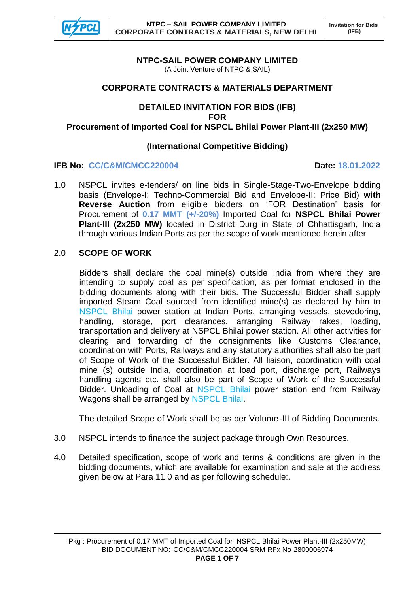

# **NTPC-SAIL POWER COMPANY LIMITED**

(A Joint Venture of NTPC & SAIL)

## **CORPORATE CONTRACTS & MATERIALS DEPARTMENT**

## **DETAILED INVITATION FOR BIDS (IFB)**

**FOR**

**Procurement of Imported Coal for NSPCL Bhilai Power Plant-III (2x250 MW)**

## **(International Competitive Bidding)**

#### **IFB No: CC/C&M/CMCC220004 Date: 18.01.2022**

1.0 NSPCL invites e-tenders/ on line bids in Single-Stage-Two-Envelope bidding basis (Envelope-I: Techno-Commercial Bid and Envelope-II: Price Bid) **with Reverse Auction** from eligible bidders on 'FOR Destination' basis for Procurement of **0.17 MMT (+/-20%)** Imported Coal for **NSPCL Bhilai Power Plant-III (2x250 MW)** located in District Durg in State of Chhattisgarh, India through various Indian Ports as per the scope of work mentioned herein after

## 2.0 **SCOPE OF WORK**

Bidders shall declare the coal mine(s) outside India from where they are intending to supply coal as per specification, as per format enclosed in the bidding documents along with their bids. The Successful Bidder shall supply imported Steam Coal sourced from identified mine(s) as declared by him to NSPCL Bhilai power station at Indian Ports, arranging vessels, stevedoring, handling, storage, port clearances, arranging Railway rakes, loading, transportation and delivery at NSPCL Bhilai power station. All other activities for clearing and forwarding of the consignments like Customs Clearance, coordination with Ports, Railways and any statutory authorities shall also be part of Scope of Work of the Successful Bidder. All liaison, coordination with coal mine (s) outside India, coordination at load port, discharge port, Railways handling agents etc. shall also be part of Scope of Work of the Successful Bidder. Unloading of Coal at NSPCL Bhilai power station end from Railway Wagons shall be arranged by NSPCL Bhilai.

The detailed Scope of Work shall be as per Volume-III of Bidding Documents.

- 3.0 NSPCL intends to finance the subject package through Own Resources.
- 4.0 Detailed specification, scope of work and terms & conditions are given in the bidding documents, which are available for examination and sale at the address given below at Para 11.0 and as per following schedule:.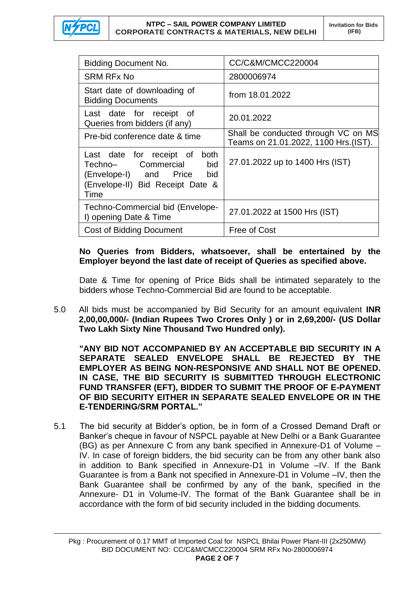

| Bidding Document No.                                                                                                                    | CC/C&M/CMCC220004                                                           |
|-----------------------------------------------------------------------------------------------------------------------------------------|-----------------------------------------------------------------------------|
| <b>SRM RFx No</b>                                                                                                                       | 2800006974                                                                  |
| Start date of downloading of<br><b>Bidding Documents</b>                                                                                | from 18.01.2022                                                             |
| Last date for receipt of<br>Queries from bidders (if any)                                                                               | 20.01.2022                                                                  |
| Pre-bid conference date & time                                                                                                          | Shall be conducted through VC on MS<br>Teams on 21.01.2022, 1100 Hrs.(IST). |
| both<br>Last date for receipt of<br>Techno- Commercial<br>bid<br>(Envelope-I) and Price bid<br>(Envelope-II) Bid Receipt Date &<br>Time | 27.01.2022 up to 1400 Hrs (IST)                                             |
| Techno-Commercial bid (Envelope-<br>I) opening Date & Time                                                                              | 27.01.2022 at 1500 Hrs (IST)                                                |
| <b>Cost of Bidding Document</b>                                                                                                         | Free of Cost                                                                |

**No Queries from Bidders, whatsoever, shall be entertained by the Employer beyond the last date of receipt of Queries as specified above.**

Date & Time for opening of Price Bids shall be intimated separately to the bidders whose Techno-Commercial Bid are found to be acceptable.

5.0 All bids must be accompanied by Bid Security for an amount equivalent **INR 2,00,00,000/- (Indian Rupees Two Crores Only ) or in 2,69,200/- (US Dollar Two Lakh Sixty Nine Thousand Two Hundred only).**

**"ANY BID NOT ACCOMPANIED BY AN ACCEPTABLE BID SECURITY IN A SEPARATE SEALED ENVELOPE SHALL BE REJECTED BY THE EMPLOYER AS BEING NON-RESPONSIVE AND SHALL NOT BE OPENED. IN CASE, THE BID SECURITY IS SUBMITTED THROUGH ELECTRONIC FUND TRANSFER (EFT), BIDDER TO SUBMIT THE PROOF OF E-PAYMENT OF BID SECURITY EITHER IN SEPARATE SEALED ENVELOPE OR IN THE E-TENDERING/SRM PORTAL."**

5.1 The bid security at Bidder's option, be in form of a Crossed Demand Draft or Banker's cheque in favour of NSPCL payable at New Delhi or a Bank Guarantee (BG) as per Annexure C from any bank specified in Annexure-D1 of Volume – IV. In case of foreign bidders, the bid security can be from any other bank also in addition to Bank specified in Annexure-D1 in Volume –IV. If the Bank Guarantee is from a Bank not specified in Annexure-D1 in Volume –IV, then the Bank Guarantee shall be confirmed by any of the bank, specified in the Annexure- D1 in Volume-IV. The format of the Bank Guarantee shall be in accordance with the form of bid security included in the bidding documents.

Pkg : Procurement of 0.17 MMT of Imported Coal for NSPCL Bhilai Power Plant-III (2x250MW) BID DOCUMENT NO: CC/C&M/CMCC220004 SRM RFx No-2800006974 **PAGE 2 OF 7**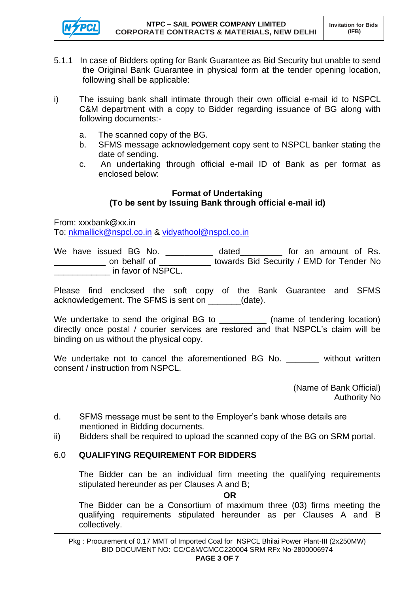

- 5.1.1 In case of Bidders opting for Bank Guarantee as Bid Security but unable to send the Original Bank Guarantee in physical form at the tender opening location, following shall be applicable:
- i) The issuing bank shall intimate through their own official e-mail id to NSPCL C&M department with a copy to Bidder regarding issuance of BG along with following documents:
	- a. The scanned copy of the BG.
	- b. SFMS message acknowledgement copy sent to NSPCL banker stating the date of sending.
	- c. An undertaking through official e-mail ID of Bank as per format as enclosed below:

## **Format of Undertaking (To be sent by Issuing Bank through official e-mail id)**

From: xxxbank@xx.in To: [nkmallick@nspcl.co.in](mailto:nkmallick@nspcl.co.in) & [vidyathool@nspcl.co.in](mailto:vidyathool@nspcl.co.in)

We have issued BG No. \_\_\_\_\_\_\_\_\_\_\_\_ dated\_\_\_\_\_\_\_\_\_ for an amount of Rs. \_\_\_\_\_\_\_\_\_\_\_ on behalf of \_\_\_\_\_\_\_\_\_\_\_ towards Bid Security / EMD for Tender No in favor of NSPCL.

Please find enclosed the soft copy of the Bank Guarantee and SFMS acknowledgement. The SFMS is sent on \_\_\_\_\_\_\_(date).

We undertake to send the original BG to \_\_\_\_\_\_\_\_\_\_\_ (name of tendering location) directly once postal / courier services are restored and that NSPCL's claim will be binding on us without the physical copy.

We undertake not to cancel the aforementioned BG No. without written consent / instruction from NSPCL.

> (Name of Bank Official) Authority No

- d. SFMS message must be sent to the Employer's bank whose details are mentioned in Bidding documents.
- ii) Bidders shall be required to upload the scanned copy of the BG on SRM portal.

#### 6.0 **QUALIFYING REQUIREMENT FOR BIDDERS**

The Bidder can be an individual firm meeting the qualifying requirements stipulated hereunder as per Clauses A and B;

**OR**

The Bidder can be a Consortium of maximum three (03) firms meeting the qualifying requirements stipulated hereunder as per Clauses A and B collectively.

Pkg : Procurement of 0.17 MMT of Imported Coal for NSPCL Bhilai Power Plant-III (2x250MW) BID DOCUMENT NO: CC/C&M/CMCC220004 SRM RFx No-2800006974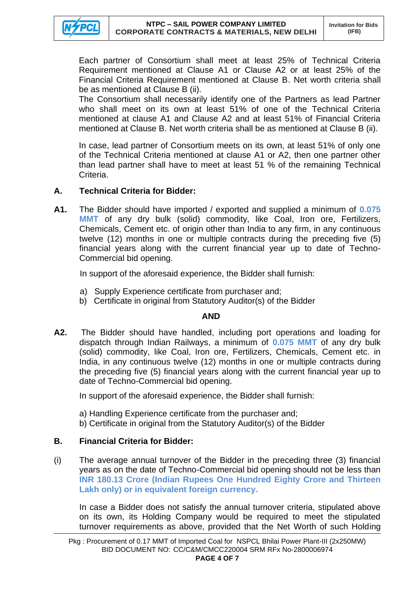

Each partner of Consortium shall meet at least 25% of Technical Criteria Requirement mentioned at Clause A1 or Clause A2 or at least 25% of the Financial Criteria Requirement mentioned at Clause B. Net worth criteria shall be as mentioned at Clause B (ii).

The Consortium shall necessarily identify one of the Partners as lead Partner who shall meet on its own at least 51% of one of the Technical Criteria mentioned at clause A1 and Clause A2 and at least 51% of Financial Criteria mentioned at Clause B. Net worth criteria shall be as mentioned at Clause B (ii).

In case, lead partner of Consortium meets on its own, at least 51% of only one of the Technical Criteria mentioned at clause A1 or A2, then one partner other than lead partner shall have to meet at least 51 % of the remaining Technical Criteria.

#### **A. Technical Criteria for Bidder:**

**A1.** The Bidder should have imported / exported and supplied a minimum of **0.075 MMT** of any dry bulk (solid) commodity, like Coal, Iron ore, Fertilizers, Chemicals, Cement etc. of origin other than India to any firm, in any continuous twelve (12) months in one or multiple contracts during the preceding five (5) financial years along with the current financial year up to date of Techno-Commercial bid opening.

In support of the aforesaid experience, the Bidder shall furnish:

- a) Supply Experience certificate from purchaser and;
- b) Certificate in original from Statutory Auditor(s) of the Bidder

#### **AND**

**A2.** The Bidder should have handled, including port operations and loading for dispatch through Indian Railways, a minimum of **0.075 MMT** of any dry bulk (solid) commodity, like Coal, Iron ore, Fertilizers, Chemicals, Cement etc. in India, in any continuous twelve (12) months in one or multiple contracts during the preceding five (5) financial years along with the current financial year up to date of Techno-Commercial bid opening.

In support of the aforesaid experience, the Bidder shall furnish:

a) Handling Experience certificate from the purchaser and; b) Certificate in original from the Statutory Auditor(s) of the Bidder

#### **B. Financial Criteria for Bidder:**

(i) The average annual turnover of the Bidder in the preceding three (3) financial years as on the date of Techno-Commercial bid opening should not be less than **INR 180.13 Crore (Indian Rupees One Hundred Eighty Crore and Thirteen Lakh only) or in equivalent foreign currency.**

In case a Bidder does not satisfy the annual turnover criteria, stipulated above on its own, its Holding Company would be required to meet the stipulated turnover requirements as above, provided that the Net Worth of such Holding

Pkg : Procurement of 0.17 MMT of Imported Coal for NSPCL Bhilai Power Plant-III (2x250MW) BID DOCUMENT NO: CC/C&M/CMCC220004 SRM RFx No-2800006974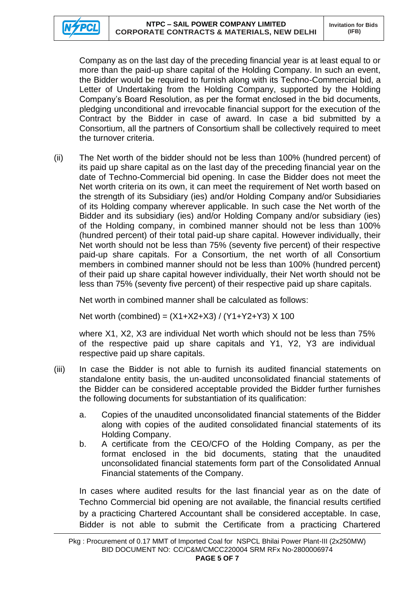

Company as on the last day of the preceding financial year is at least equal to or more than the paid-up share capital of the Holding Company. In such an event, the Bidder would be required to furnish along with its Techno-Commercial bid, a Letter of Undertaking from the Holding Company, supported by the Holding Company's Board Resolution, as per the format enclosed in the bid documents, pledging unconditional and irrevocable financial support for the execution of the Contract by the Bidder in case of award. In case a bid submitted by a Consortium, all the partners of Consortium shall be collectively required to meet the turnover criteria.

(ii) The Net worth of the bidder should not be less than 100% (hundred percent) of its paid up share capital as on the last day of the preceding financial year on the date of Techno-Commercial bid opening. In case the Bidder does not meet the Net worth criteria on its own, it can meet the requirement of Net worth based on the strength of its Subsidiary (ies) and/or Holding Company and/or Subsidiaries of its Holding company wherever applicable. In such case the Net worth of the Bidder and its subsidiary (ies) and/or Holding Company and/or subsidiary (ies) of the Holding company, in combined manner should not be less than 100% (hundred percent) of their total paid-up share capital. However individually, their Net worth should not be less than 75% (seventy five percent) of their respective paid-up share capitals. For a Consortium, the net worth of all Consortium members in combined manner should not be less than 100% (hundred percent) of their paid up share capital however individually, their Net worth should not be less than 75% (seventy five percent) of their respective paid up share capitals.

Net worth in combined manner shall be calculated as follows:

Net worth (combined) = (X1+X2+X3) / (Y1+Y2+Y3) X 100

where X1, X2, X3 are individual Net worth which should not be less than 75% of the respective paid up share capitals and Y1, Y2, Y3 are individual respective paid up share capitals.

- (iii) In case the Bidder is not able to furnish its audited financial statements on standalone entity basis, the un-audited unconsolidated financial statements of the Bidder can be considered acceptable provided the Bidder further furnishes the following documents for substantiation of its qualification:
	- a. Copies of the unaudited unconsolidated financial statements of the Bidder along with copies of the audited consolidated financial statements of its Holding Company.
	- b. A certificate from the CEO/CFO of the Holding Company, as per the format enclosed in the bid documents, stating that the unaudited unconsolidated financial statements form part of the Consolidated Annual Financial statements of the Company.

In cases where audited results for the last financial year as on the date of Techno Commercial bid opening are not available, the financial results certified by a practicing Chartered Accountant shall be considered acceptable. In case, Bidder is not able to submit the Certificate from a practicing Chartered

Pkg : Procurement of 0.17 MMT of Imported Coal for NSPCL Bhilai Power Plant-III (2x250MW) BID DOCUMENT NO: CC/C&M/CMCC220004 SRM RFx No-2800006974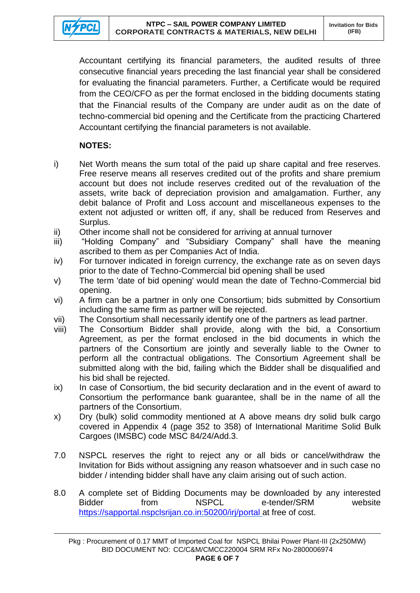

Accountant certifying its financial parameters, the audited results of three consecutive financial years preceding the last financial year shall be considered for evaluating the financial parameters. Further, a Certificate would be required from the CEO/CFO as per the format enclosed in the bidding documents stating that the Financial results of the Company are under audit as on the date of techno-commercial bid opening and the Certificate from the practicing Chartered Accountant certifying the financial parameters is not available.

## **NOTES:**

- i) Net Worth means the sum total of the paid up share capital and free reserves. Free reserve means all reserves credited out of the profits and share premium account but does not include reserves credited out of the revaluation of the assets, write back of depreciation provision and amalgamation. Further, any debit balance of Profit and Loss account and miscellaneous expenses to the extent not adjusted or written off, if any, shall be reduced from Reserves and Surplus.
- ii) Other income shall not be considered for arriving at annual turnover
- iii) "Holding Company" and "Subsidiary Company" shall have the meaning ascribed to them as per Companies Act of India.
- iv) For turnover indicated in foreign currency, the exchange rate as on seven days prior to the date of Techno-Commercial bid opening shall be used
- v) The term 'date of bid opening' would mean the date of Techno-Commercial bid opening.
- vi) A firm can be a partner in only one Consortium; bids submitted by Consortium including the same firm as partner will be rejected.
- vii) The Consortium shall necessarily identify one of the partners as lead partner.
- viii) The Consortium Bidder shall provide, along with the bid, a Consortium Agreement, as per the format enclosed in the bid documents in which the partners of the Consortium are jointly and severally liable to the Owner to perform all the contractual obligations. The Consortium Agreement shall be submitted along with the bid, failing which the Bidder shall be disqualified and his bid shall be rejected.
- ix) In case of Consortium, the bid security declaration and in the event of award to Consortium the performance bank guarantee, shall be in the name of all the partners of the Consortium.
- x) Dry (bulk) solid commodity mentioned at A above means dry solid bulk cargo covered in Appendix 4 (page 352 to 358) of International Maritime Solid Bulk Cargoes (IMSBC) code MSC 84/24/Add.3.
- 7.0 NSPCL reserves the right to reject any or all bids or cancel/withdraw the Invitation for Bids without assigning any reason whatsoever and in such case no bidder / intending bidder shall have any claim arising out of such action.
- 8.0 A complete set of Bidding Documents may be downloaded by any interested Bidder from NSPCL e-tender/SRM website <https://sapportal.nspclsrijan.co.in:50200/irj/portal> at free of cost.

Pkg : Procurement of 0.17 MMT of Imported Coal for NSPCL Bhilai Power Plant-III (2x250MW) BID DOCUMENT NO: CC/C&M/CMCC220004 SRM RFx No-2800006974 **PAGE 6 OF 7**